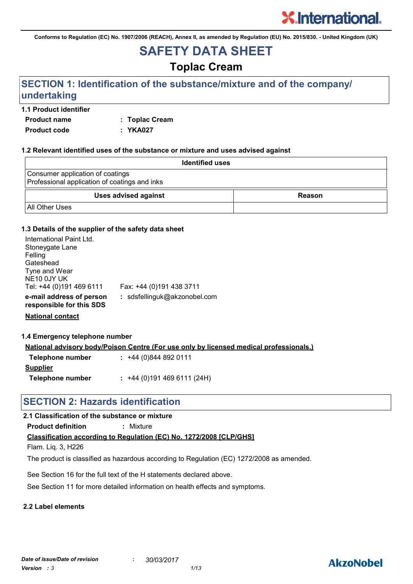**Conforms to Regulation (EC) No. 1907/2006 (REACH), Annex II, as amended by Regulation (EU) No. 2015/830. - United Kingdom (UK)**

## **SAFETY DATA SHEET**

### **Toplac Cream**

### **SECTION 1: Identification of the substance/mixture and of the company/ undertaking**

#### **1.1 Product identifier**

**Product name : Toplac Cream Product code : YKA027**

| 1.2 Relevant identified uses of the substance or mixture and uses advised against |        |  |
|-----------------------------------------------------------------------------------|--------|--|
| <b>Identified uses</b>                                                            |        |  |
| Consumer application of coatings<br>Professional application of coatings and inks |        |  |
| <b>Uses advised against</b>                                                       | Reason |  |
| <b>All Other Uses</b>                                                             |        |  |

#### **1.3 Details of the supplier of the safety data sheet**

| International Paint Ltd.<br>Stoneygate Lane<br>Felling<br>Gateshead<br>Tyne and Wear<br>NE <sub>10</sub> 0JY UK<br>Tel: +44 (0)191 469 6111 | Fax: +44 (0)191 438 3711     |
|---------------------------------------------------------------------------------------------------------------------------------------------|------------------------------|
| e-mail address of person<br>responsible for this SDS                                                                                        | : sdsfellinguk@akzonobel.com |

**National contact**

**1.4 Emergency telephone number**

**National advisory body/Poison Centre (For use only by licensed medical professionals.)**

| Telephone number | $: +44(0)8448920111$      |
|------------------|---------------------------|
| <u>Supplier</u>  |                           |
| Telephone number | $: +44(0)1914696111(24H)$ |

### **SECTION 2: Hazards identification**

#### **2.1 Classification of the substance or mixture**

**Product definition :** Mixture

**Classification according to Regulation (EC) No. 1272/2008 [CLP/GHS]**

Flam. Liq. 3, H226

The product is classified as hazardous according to Regulation (EC) 1272/2008 as amended.

See Section 16 for the full text of the H statements declared above.

See Section 11 for more detailed information on health effects and symptoms.

#### **2.2 Label elements**

### **AkzoNobel**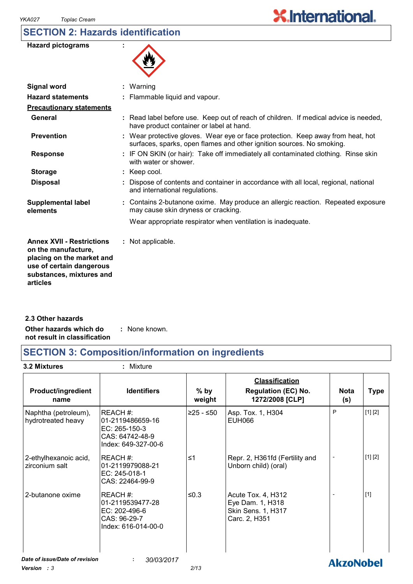### **SECTION 2: Hazards identification**

| <b>Hazard pictograms</b> |  |
|--------------------------|--|
|--------------------------|--|



| : Read label before use. Keep out of reach of children. If medical advice is needed, |
|--------------------------------------------------------------------------------------|
|                                                                                      |
|                                                                                      |
|                                                                                      |
|                                                                                      |
|                                                                                      |
|                                                                                      |
|                                                                                      |
|                                                                                      |
| : Contains 2-butanone oxime. May produce an allergic reaction. Repeated exposure     |
|                                                                                      |
|                                                                                      |
|                                                                                      |

**Other hazards which do : not result in classification** : None known. **2.3 Other hazards**

### **SECTION 3: Composition/information on ingredients**

**3.2 Mixtures :** Mixture

| <b>Product/ingredient</b><br>name          | <b>Identifiers</b>                                                                         | $%$ by<br>weight | <b>Classification</b><br><b>Regulation (EC) No.</b><br>1272/2008 [CLP]        | Nota<br>(s)      | <b>Type</b> |
|--------------------------------------------|--------------------------------------------------------------------------------------------|------------------|-------------------------------------------------------------------------------|------------------|-------------|
| Naphtha (petroleum),<br>hydrotreated heavy | REACH #:<br>l01-2119486659-16<br>$EC: 265-150-3$<br>CAS: 64742-48-9<br>Index: 649-327-00-6 | $≥25 - ≤50$      | Asp. Tox. 1, H304<br><b>EUH066</b>                                            | P                | [1] [2]     |
| 2-ethylhexanoic acid,<br>zirconium salt    | REACH #:<br>01-2119979088-21<br>EC: 245-018-1<br>CAS: 22464-99-9                           | ≤1               | Repr. 2, H361fd (Fertility and<br>Unborn child) (oral)                        |                  | [1] [2]     |
| 2-butanone oxime                           | REACH#:<br>01-2119539477-28<br>EC: 202-496-6<br>CAS: 96-29-7<br>Index: 616-014-00-0        | ≤0.3             | Acute Tox. 4, H312<br>Eye Dam. 1, H318<br>Skin Sens. 1, H317<br>Carc. 2, H351 |                  | $[1]$       |
| Date of issue/Date of revision             | 30/03/2017                                                                                 |                  |                                                                               | <b>AkzoNobel</b> |             |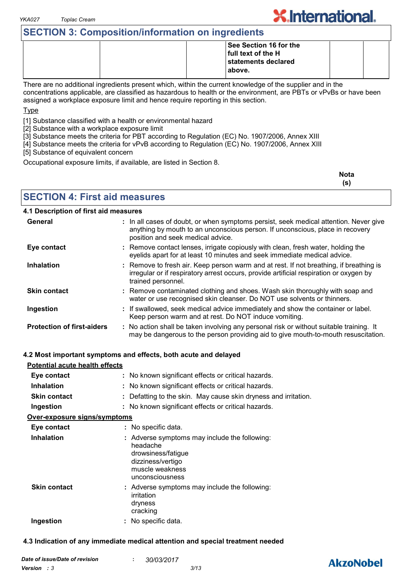### **SECTION 3: Composition/information on ingredients**

|  | <b>See Section 16 for the</b> |  |
|--|-------------------------------|--|
|  | full text of the H            |  |
|  | statements declared           |  |
|  | above.                        |  |
|  |                               |  |

There are no additional ingredients present which, within the current knowledge of the supplier and in the concentrations applicable, are classified as hazardous to health or the environment, are PBTs or vPvBs or have been assigned a workplace exposure limit and hence require reporting in this section.

Type

[1] Substance classified with a health or environmental hazard

[2] Substance with a workplace exposure limit

[3] Substance meets the criteria for PBT according to Regulation (EC) No. 1907/2006, Annex XIII

[4] Substance meets the criteria for vPvB according to Regulation (EC) No. 1907/2006, Annex XIII

[5] Substance of equivalent concern

Occupational exposure limits, if available, are listed in Section 8.

| <b>Nota</b> |
|-------------|
| (s)         |

**X.International.** 

**SECTION 4: First aid measures**

#### **4.1 Description of first aid measures**

| General                           | : In all cases of doubt, or when symptoms persist, seek medical attention. Never give<br>anything by mouth to an unconscious person. If unconscious, place in recovery<br>position and seek medical advice. |
|-----------------------------------|-------------------------------------------------------------------------------------------------------------------------------------------------------------------------------------------------------------|
| Eye contact                       | : Remove contact lenses, irrigate copiously with clean, fresh water, holding the<br>eyelids apart for at least 10 minutes and seek immediate medical advice.                                                |
| <b>Inhalation</b>                 | : Remove to fresh air. Keep person warm and at rest. If not breathing, if breathing is<br>irregular or if respiratory arrest occurs, provide artificial respiration or oxygen by<br>trained personnel.      |
| <b>Skin contact</b>               | : Remove contaminated clothing and shoes. Wash skin thoroughly with soap and<br>water or use recognised skin cleanser. Do NOT use solvents or thinners.                                                     |
| Ingestion                         | : If swallowed, seek medical advice immediately and show the container or label.<br>Keep person warm and at rest. Do NOT induce vomiting.                                                                   |
| <b>Protection of first-aiders</b> | : No action shall be taken involving any personal risk or without suitable training. It<br>may be dangerous to the person providing aid to give mouth-to-mouth resuscitation.                               |

#### **4.2 Most important symptoms and effects, both acute and delayed**

| Potential acute health effects       |                                                                                                                                            |
|--------------------------------------|--------------------------------------------------------------------------------------------------------------------------------------------|
| Eye contact                          | : No known significant effects or critical hazards.                                                                                        |
| <b>Inhalation</b>                    | : No known significant effects or critical hazards.                                                                                        |
| <b>Skin contact</b>                  | : Defatting to the skin. May cause skin dryness and irritation.                                                                            |
| Ingestion                            | : No known significant effects or critical hazards.                                                                                        |
| <u> Over-exposure signs/symptoms</u> |                                                                                                                                            |
| Eye contact                          | : No specific data.                                                                                                                        |
| <b>Inhalation</b>                    | : Adverse symptoms may include the following:<br>headache<br>drowsiness/fatigue<br>dizziness/vertigo<br>muscle weakness<br>unconsciousness |
| <b>Skin contact</b>                  | : Adverse symptoms may include the following:<br>irritation<br>dryness<br>cracking                                                         |
| Ingestion                            | : No specific data.                                                                                                                        |

#### **4.3 Indication of any immediate medical attention and special treatment needed**

### **AkzoNobel**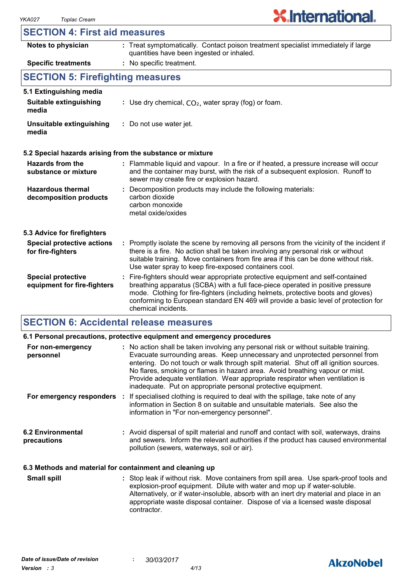

#### **SECTION 4: First aid measures**

| Notes to physician                                       | : Treat symptomatically. Contact poison treatment specialist immediately if large<br>quantities have been ingested or inhaled.                                                                                                                                                                                                                                      |  |
|----------------------------------------------------------|---------------------------------------------------------------------------------------------------------------------------------------------------------------------------------------------------------------------------------------------------------------------------------------------------------------------------------------------------------------------|--|
| <b>Specific treatments</b>                               | : No specific treatment.                                                                                                                                                                                                                                                                                                                                            |  |
| <b>SECTION 5: Firefighting measures</b>                  |                                                                                                                                                                                                                                                                                                                                                                     |  |
| 5.1 Extinguishing media                                  |                                                                                                                                                                                                                                                                                                                                                                     |  |
| Suitable extinguishing<br>media                          | : Use dry chemical, $CO2$ , water spray (fog) or foam.                                                                                                                                                                                                                                                                                                              |  |
| Unsuitable extinguishing<br>media                        | : Do not use water jet.                                                                                                                                                                                                                                                                                                                                             |  |
|                                                          | 5.2 Special hazards arising from the substance or mixture                                                                                                                                                                                                                                                                                                           |  |
| <b>Hazards from the</b><br>substance or mixture          | : Flammable liquid and vapour. In a fire or if heated, a pressure increase will occur<br>and the container may burst, with the risk of a subsequent explosion. Runoff to<br>sewer may create fire or explosion hazard.                                                                                                                                              |  |
| <b>Hazardous thermal</b><br>decomposition products       | : Decomposition products may include the following materials:<br>carbon dioxide<br>carbon monoxide<br>metal oxide/oxides                                                                                                                                                                                                                                            |  |
| 5.3 Advice for firefighters                              |                                                                                                                                                                                                                                                                                                                                                                     |  |
| <b>Special protective actions</b><br>for fire-fighters   | : Promptly isolate the scene by removing all persons from the vicinity of the incident if<br>there is a fire. No action shall be taken involving any personal risk or without<br>suitable training. Move containers from fire area if this can be done without risk.<br>Use water spray to keep fire-exposed containers cool.                                       |  |
| <b>Special protective</b><br>equipment for fire-fighters | Fire-fighters should wear appropriate protective equipment and self-contained<br>breathing apparatus (SCBA) with a full face-piece operated in positive pressure<br>mode. Clothing for fire-fighters (including helmets, protective boots and gloves)<br>conforming to European standard EN 469 will provide a basic level of protection for<br>chemical incidents. |  |

#### **SECTION 6: Accidental release measures**

|                                                          | 6.1 Personal precautions, protective equipment and emergency procedures                                                                                                                                                                                                                                                                                                                                                                                                                        |
|----------------------------------------------------------|------------------------------------------------------------------------------------------------------------------------------------------------------------------------------------------------------------------------------------------------------------------------------------------------------------------------------------------------------------------------------------------------------------------------------------------------------------------------------------------------|
| For non-emergency<br>personnel                           | : No action shall be taken involving any personal risk or without suitable training.<br>Evacuate surrounding areas. Keep unnecessary and unprotected personnel from<br>entering. Do not touch or walk through spilt material. Shut off all ignition sources.<br>No flares, smoking or flames in hazard area. Avoid breathing vapour or mist.<br>Provide adequate ventilation. Wear appropriate respirator when ventilation is<br>inadequate. Put on appropriate personal protective equipment. |
|                                                          | <b>For emergency responders</b> : If specialised clothing is required to deal with the spillage, take note of any<br>information in Section 8 on suitable and unsuitable materials. See also the<br>information in "For non-emergency personnel".                                                                                                                                                                                                                                              |
| <b>6.2 Environmental</b><br>precautions                  | : Avoid dispersal of spilt material and runoff and contact with soil, waterways, drains<br>and sewers. Inform the relevant authorities if the product has caused environmental<br>pollution (sewers, waterways, soil or air).                                                                                                                                                                                                                                                                  |
| 6.3 Methods and material for containment and cleaning up |                                                                                                                                                                                                                                                                                                                                                                                                                                                                                                |

Stop leak if without risk. Move containers from spill area. Use spark-proof tools and explosion-proof equipment. Dilute with water and mop up if water-soluble. Alternatively, or if water-insoluble, absorb with an inert dry material and place in an appropriate waste disposal container. Dispose of via a licensed waste disposal contractor. **Small spill :**

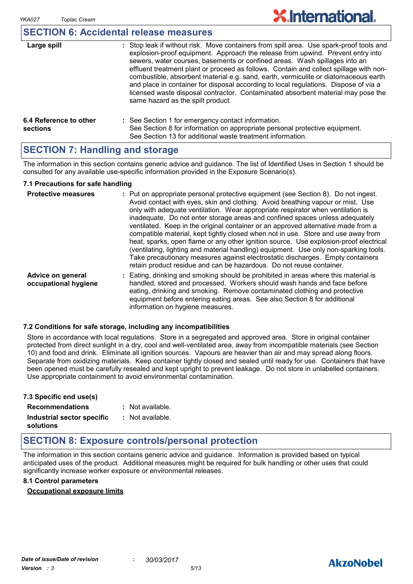### **SECTION 6: Accidental release measures**

| Large spill                        | : Stop leak if without risk. Move containers from spill area. Use spark-proof tools and<br>explosion-proof equipment. Approach the release from upwind. Prevent entry into<br>sewers, water courses, basements or confined areas. Wash spillages into an<br>effluent treatment plant or proceed as follows. Contain and collect spillage with non-<br>combustible, absorbent material e.g. sand, earth, vermiculite or diatomaceous earth<br>and place in container for disposal according to local regulations. Dispose of via a<br>licensed waste disposal contractor. Contaminated absorbent material may pose the<br>same hazard as the spilt product. |
|------------------------------------|------------------------------------------------------------------------------------------------------------------------------------------------------------------------------------------------------------------------------------------------------------------------------------------------------------------------------------------------------------------------------------------------------------------------------------------------------------------------------------------------------------------------------------------------------------------------------------------------------------------------------------------------------------|
| 6.4 Reference to other<br>sections | : See Section 1 for emergency contact information.<br>See Section 8 for information on appropriate personal protective equipment.<br>See Section 13 for additional waste treatment information.                                                                                                                                                                                                                                                                                                                                                                                                                                                            |

### **SECTION 7: Handling and storage**

The information in this section contains generic advice and guidance. The list of Identified Uses in Section 1 should be consulted for any available use-specific information provided in the Exposure Scenario(s).

#### **7.1 Precautions for safe handling**

| <b>Protective measures</b>                | : Put on appropriate personal protective equipment (see Section 8). Do not ingest.<br>Avoid contact with eyes, skin and clothing. Avoid breathing vapour or mist. Use<br>only with adequate ventilation. Wear appropriate respirator when ventilation is<br>inadequate. Do not enter storage areas and confined spaces unless adequately<br>ventilated. Keep in the original container or an approved alternative made from a<br>compatible material, kept tightly closed when not in use. Store and use away from<br>heat, sparks, open flame or any other ignition source. Use explosion-proof electrical<br>(ventilating, lighting and material handling) equipment. Use only non-sparking tools.<br>Take precautionary measures against electrostatic discharges. Empty containers<br>retain product residue and can be hazardous. Do not reuse container. |
|-------------------------------------------|----------------------------------------------------------------------------------------------------------------------------------------------------------------------------------------------------------------------------------------------------------------------------------------------------------------------------------------------------------------------------------------------------------------------------------------------------------------------------------------------------------------------------------------------------------------------------------------------------------------------------------------------------------------------------------------------------------------------------------------------------------------------------------------------------------------------------------------------------------------|
| Advice on general<br>occupational hygiene | : Eating, drinking and smoking should be prohibited in areas where this material is<br>handled, stored and processed. Workers should wash hands and face before<br>eating, drinking and smoking. Remove contaminated clothing and protective<br>equipment before entering eating areas. See also Section 8 for additional<br>information on hygiene measures.                                                                                                                                                                                                                                                                                                                                                                                                                                                                                                  |

#### **7.2 Conditions for safe storage, including any incompatibilities**

Store in accordance with local regulations. Store in a segregated and approved area. Store in original container protected from direct sunlight in a dry, cool and well-ventilated area, away from incompatible materials (see Section 10) and food and drink. Eliminate all ignition sources. Vapours are heavier than air and may spread along floors. Separate from oxidizing materials. Keep container tightly closed and sealed until ready for use. Containers that have been opened must be carefully resealed and kept upright to prevent leakage. Do not store in unlabelled containers. Use appropriate containment to avoid environmental contamination.

| 7.3 Specific end use(s)    |                  |
|----------------------------|------------------|
| <b>Recommendations</b>     | : Not available. |
| Industrial sector specific | : Not available. |
| solutions                  |                  |

### **SECTION 8: Exposure controls/personal protection**

The information in this section contains generic advice and guidance. Information is provided based on typical anticipated uses of the product. Additional measures might be required for bulk handling or other uses that could significantly increase worker exposure or environmental releases.

#### **8.1 Control parameters**

#### **Occupational exposure limits**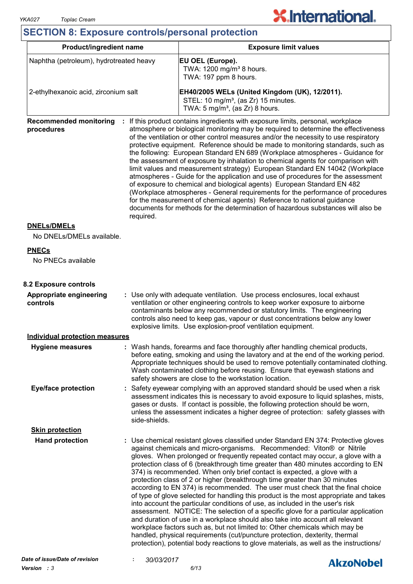## **X.International.**

### **SECTION 8: Exposure controls/personal protection**

| <b>Product/ingredient name</b>                           |                                                                                                                                                                                                                                                                                                                                                                                          | <b>Exposure limit values</b>                                                                                                                                                                                                                                                                                                                                                                                                                                                                                                                                                                                                                                                                                                                                                                                                                                                                                                                                                                                                                                                                                                                                                              |  |  |
|----------------------------------------------------------|------------------------------------------------------------------------------------------------------------------------------------------------------------------------------------------------------------------------------------------------------------------------------------------------------------------------------------------------------------------------------------------|-------------------------------------------------------------------------------------------------------------------------------------------------------------------------------------------------------------------------------------------------------------------------------------------------------------------------------------------------------------------------------------------------------------------------------------------------------------------------------------------------------------------------------------------------------------------------------------------------------------------------------------------------------------------------------------------------------------------------------------------------------------------------------------------------------------------------------------------------------------------------------------------------------------------------------------------------------------------------------------------------------------------------------------------------------------------------------------------------------------------------------------------------------------------------------------------|--|--|
| Naphtha (petroleum), hydrotreated heavy                  |                                                                                                                                                                                                                                                                                                                                                                                          | <b>EU OEL (Europe).</b><br>TWA: 1200 mg/m <sup>3</sup> 8 hours.<br>TWA: 197 ppm 8 hours.                                                                                                                                                                                                                                                                                                                                                                                                                                                                                                                                                                                                                                                                                                                                                                                                                                                                                                                                                                                                                                                                                                  |  |  |
| 2-ethylhexanoic acid, zirconium salt                     |                                                                                                                                                                                                                                                                                                                                                                                          | EH40/2005 WELs (United Kingdom (UK), 12/2011).<br>STEL: 10 mg/m <sup>3</sup> , (as Zr) 15 minutes.<br>TWA: $5 \text{ mg/m}^3$ , (as Zr) 8 hours.                                                                                                                                                                                                                                                                                                                                                                                                                                                                                                                                                                                                                                                                                                                                                                                                                                                                                                                                                                                                                                          |  |  |
| <b>Recommended monitoring</b><br>procedures<br>required. |                                                                                                                                                                                                                                                                                                                                                                                          | : If this product contains ingredients with exposure limits, personal, workplace<br>atmosphere or biological monitoring may be required to determine the effectiveness<br>of the ventilation or other control measures and/or the necessity to use respiratory<br>protective equipment. Reference should be made to monitoring standards, such as<br>the following: European Standard EN 689 (Workplace atmospheres - Guidance for<br>the assessment of exposure by inhalation to chemical agents for comparison with<br>limit values and measurement strategy) European Standard EN 14042 (Workplace<br>atmospheres - Guide for the application and use of procedures for the assessment<br>of exposure to chemical and biological agents) European Standard EN 482<br>(Workplace atmospheres - General requirements for the performance of procedures<br>for the measurement of chemical agents) Reference to national guidance<br>documents for methods for the determination of hazardous substances will also be                                                                                                                                                                     |  |  |
| <b>DNELs/DMELs</b><br>No DNELs/DMELs available.          |                                                                                                                                                                                                                                                                                                                                                                                          |                                                                                                                                                                                                                                                                                                                                                                                                                                                                                                                                                                                                                                                                                                                                                                                                                                                                                                                                                                                                                                                                                                                                                                                           |  |  |
| <b>PNECs</b><br>No PNECs available                       |                                                                                                                                                                                                                                                                                                                                                                                          |                                                                                                                                                                                                                                                                                                                                                                                                                                                                                                                                                                                                                                                                                                                                                                                                                                                                                                                                                                                                                                                                                                                                                                                           |  |  |
| 8.2 Exposure controls                                    |                                                                                                                                                                                                                                                                                                                                                                                          |                                                                                                                                                                                                                                                                                                                                                                                                                                                                                                                                                                                                                                                                                                                                                                                                                                                                                                                                                                                                                                                                                                                                                                                           |  |  |
| Appropriate engineering<br>controls                      | : Use only with adequate ventilation. Use process enclosures, local exhaust<br>ventilation or other engineering controls to keep worker exposure to airborne<br>contaminants below any recommended or statutory limits. The engineering<br>controls also need to keep gas, vapour or dust concentrations below any lower<br>explosive limits. Use explosion-proof ventilation equipment. |                                                                                                                                                                                                                                                                                                                                                                                                                                                                                                                                                                                                                                                                                                                                                                                                                                                                                                                                                                                                                                                                                                                                                                                           |  |  |
| <b>Individual protection measures</b>                    |                                                                                                                                                                                                                                                                                                                                                                                          |                                                                                                                                                                                                                                                                                                                                                                                                                                                                                                                                                                                                                                                                                                                                                                                                                                                                                                                                                                                                                                                                                                                                                                                           |  |  |
| <b>Hygiene measures</b>                                  |                                                                                                                                                                                                                                                                                                                                                                                          | : Wash hands, forearms and face thoroughly after handling chemical products,<br>before eating, smoking and using the lavatory and at the end of the working period.<br>Appropriate techniques should be used to remove potentially contaminated clothing.<br>Wash contaminated clothing before reusing. Ensure that eyewash stations and<br>safety showers are close to the workstation location.                                                                                                                                                                                                                                                                                                                                                                                                                                                                                                                                                                                                                                                                                                                                                                                         |  |  |
| <b>Eye/face protection</b>                               | side-shields.                                                                                                                                                                                                                                                                                                                                                                            | Safety eyewear complying with an approved standard should be used when a risk<br>assessment indicates this is necessary to avoid exposure to liquid splashes, mists,<br>gases or dusts. If contact is possible, the following protection should be worn,<br>unless the assessment indicates a higher degree of protection: safety glasses with                                                                                                                                                                                                                                                                                                                                                                                                                                                                                                                                                                                                                                                                                                                                                                                                                                            |  |  |
| <b>Skin protection</b>                                   |                                                                                                                                                                                                                                                                                                                                                                                          |                                                                                                                                                                                                                                                                                                                                                                                                                                                                                                                                                                                                                                                                                                                                                                                                                                                                                                                                                                                                                                                                                                                                                                                           |  |  |
| <b>Hand protection</b>                                   |                                                                                                                                                                                                                                                                                                                                                                                          | : Use chemical resistant gloves classified under Standard EN 374: Protective gloves<br>against chemicals and micro-organisms. Recommended: Viton® or Nitrile<br>gloves. When prolonged or frequently repeated contact may occur, a glove with a<br>protection class of 6 (breakthrough time greater than 480 minutes according to EN<br>374) is recommended. When only brief contact is expected, a glove with a<br>protection class of 2 or higher (breakthrough time greater than 30 minutes<br>according to EN 374) is recommended. The user must check that the final choice<br>of type of glove selected for handling this product is the most appropriate and takes<br>into account the particular conditions of use, as included in the user's risk<br>assessment. NOTICE: The selection of a specific glove for a particular application<br>and duration of use in a workplace should also take into account all relevant<br>workplace factors such as, but not limited to: Other chemicals which may be<br>handled, physical requirements (cut/puncture protection, dexterity, thermal<br>protection), potential body reactions to glove materials, as well as the instructions/ |  |  |
| Date of issue/Date of revision                           | 30/03/2017                                                                                                                                                                                                                                                                                                                                                                               | Almablahal                                                                                                                                                                                                                                                                                                                                                                                                                                                                                                                                                                                                                                                                                                                                                                                                                                                                                                                                                                                                                                                                                                                                                                                |  |  |

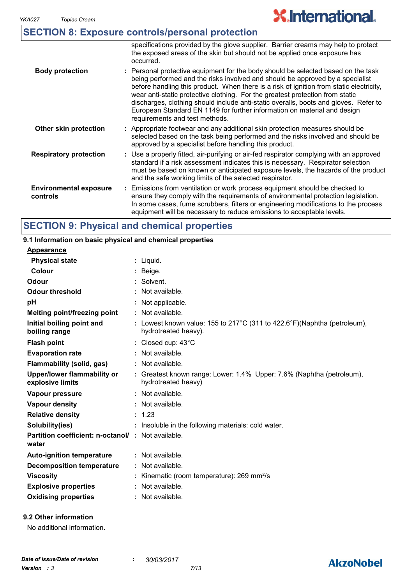## **X.International.**

|                                           | <b>SECTION 8: Exposure controls/personal protection</b>                                                                                                                                                                                                                                                                                                                                                                                                                                                                                              |
|-------------------------------------------|------------------------------------------------------------------------------------------------------------------------------------------------------------------------------------------------------------------------------------------------------------------------------------------------------------------------------------------------------------------------------------------------------------------------------------------------------------------------------------------------------------------------------------------------------|
|                                           | specifications provided by the glove supplier. Barrier creams may help to protect<br>the exposed areas of the skin but should not be applied once exposure has<br>occurred.                                                                                                                                                                                                                                                                                                                                                                          |
| <b>Body protection</b>                    | : Personal protective equipment for the body should be selected based on the task<br>being performed and the risks involved and should be approved by a specialist<br>before handling this product. When there is a risk of ignition from static electricity,<br>wear anti-static protective clothing. For the greatest protection from static<br>discharges, clothing should include anti-static overalls, boots and gloves. Refer to<br>European Standard EN 1149 for further information on material and design<br>requirements and test methods. |
| Other skin protection                     | : Appropriate footwear and any additional skin protection measures should be<br>selected based on the task being performed and the risks involved and should be<br>approved by a specialist before handling this product.                                                                                                                                                                                                                                                                                                                            |
| <b>Respiratory protection</b>             | : Use a properly fitted, air-purifying or air-fed respirator complying with an approved<br>standard if a risk assessment indicates this is necessary. Respirator selection<br>must be based on known or anticipated exposure levels, the hazards of the product<br>and the safe working limits of the selected respirator.                                                                                                                                                                                                                           |
| <b>Environmental exposure</b><br>controls | : Emissions from ventilation or work process equipment should be checked to<br>ensure they comply with the requirements of environmental protection legislation.<br>In some cases, fume scrubbers, filters or engineering modifications to the process<br>equipment will be necessary to reduce emissions to acceptable levels.                                                                                                                                                                                                                      |

### **SECTION 9: Physical and chemical properties**

#### Liquid. **: Appearance** Lowest known value: 155 to 217°C (311 to 422.6°F)(Naphtha (petroleum), **:** hydrotreated heavy). **Physical state Melting point/freezing point Initial boiling point and boiling range Vapour pressure Relative density Vapour density Solubility(ies)** Not available. **:** 1.23 **:** Not available. **:** Not available. **: :** Insoluble in the following materials: cold water. **Odour** Solvent. **pH Colour** Beige. **Evaporation rate Auto-ignition temperature Flash point** Not available. **:** Closed cup: 43°C **:** Greatest known range: Lower: 1.4% Upper: 7.6% (Naphtha (petroleum), **:** hydrotreated heavy) Not available. **: Partition coefficient: n-octanol/ : Not available.** Not applicable. **: Viscosity Kinematic (room temperature): 269 mm<sup>2</sup>/s Odour threshold water Upper/lower flammability or explosive limits Explosive properties** : Not available. **: Oxidising properties :** Not available. **9.1 Information on basic physical and chemical properties Decomposition temperature :** Not available. **Flammability (solid, gas) :** Not available.

#### **9.2 Other information**

No additional information.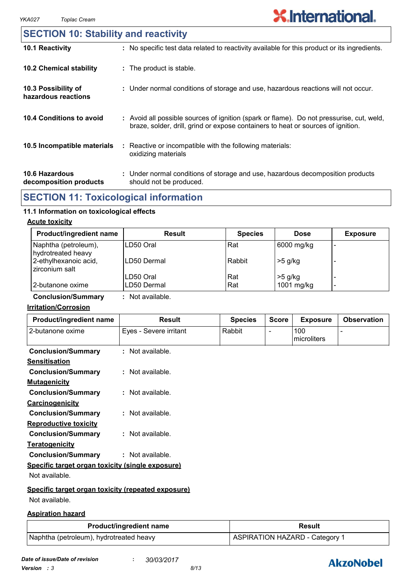### **SECTION 10: Stability and reactivity**

| 10.1 Reactivity                                 | : No specific test data related to reactivity available for this product or its ingredients.                                                                                 |
|-------------------------------------------------|------------------------------------------------------------------------------------------------------------------------------------------------------------------------------|
| <b>10.2 Chemical stability</b>                  | : The product is stable.                                                                                                                                                     |
| 10.3 Possibility of<br>hazardous reactions      | : Under normal conditions of storage and use, hazardous reactions will not occur.                                                                                            |
| 10.4 Conditions to avoid                        | : Avoid all possible sources of ignition (spark or flame). Do not pressurise, cut, weld,<br>braze, solder, drill, grind or expose containers to heat or sources of ignition. |
| 10.5 Incompatible materials                     | : Reactive or incompatible with the following materials:<br>oxidizing materials                                                                                              |
| <b>10.6 Hazardous</b><br>decomposition products | : Under normal conditions of storage and use, hazardous decomposition products<br>should not be produced.                                                                    |

### **SECTION 11: Toxicological information**

### **11.1 Information on toxicological effects**

#### **Acute toxicity**

| <b>Product/ingredient name</b>             | <b>Result</b> | <b>Species</b> | <b>Dose</b> | <b>Exposure</b> |
|--------------------------------------------|---------------|----------------|-------------|-----------------|
| Naphtha (petroleum),<br>hydrotreated heavy | LD50 Oral     | Rat            | 6000 mg/kg  | -               |
| 2-ethylhexanoic acid,<br>zirconium salt    | LD50 Dermal   | Rabbit         | $>5$ g/kg   |                 |
|                                            | LD50 Oral     | Rat            | $>5$ g/kg   |                 |
| 2-butanone oxime                           | LD50 Dermal   | Rat            | 1001 mg/kg  | -               |

**Conclusion/Summary :** Not available.

#### **Irritation/Corrosion**

| Eyes - Severe irritant<br>100<br>2-butanone oxime<br>Rabbit<br>$\blacksquare$<br>microliters<br><b>Conclusion/Summary</b><br>: Not available.<br><b>Sensitisation</b><br>: Not available.<br><b>Conclusion/Summary</b><br><b>Mutagenicity</b><br><b>Conclusion/Summary</b><br>: Not available.<br><b>Carcinogenicity</b><br><b>Conclusion/Summary</b><br>: Not available. |
|---------------------------------------------------------------------------------------------------------------------------------------------------------------------------------------------------------------------------------------------------------------------------------------------------------------------------------------------------------------------------|
|                                                                                                                                                                                                                                                                                                                                                                           |
|                                                                                                                                                                                                                                                                                                                                                                           |
|                                                                                                                                                                                                                                                                                                                                                                           |
|                                                                                                                                                                                                                                                                                                                                                                           |
|                                                                                                                                                                                                                                                                                                                                                                           |
|                                                                                                                                                                                                                                                                                                                                                                           |
|                                                                                                                                                                                                                                                                                                                                                                           |
|                                                                                                                                                                                                                                                                                                                                                                           |
| <b>Reproductive toxicity</b>                                                                                                                                                                                                                                                                                                                                              |
| <b>Conclusion/Summary</b><br>$:$ Not available.                                                                                                                                                                                                                                                                                                                           |
| <b>Teratogenicity</b>                                                                                                                                                                                                                                                                                                                                                     |
| <b>Conclusion/Summary</b><br>$:$ Not available.                                                                                                                                                                                                                                                                                                                           |
| Specific target organ toxicity (single exposure)                                                                                                                                                                                                                                                                                                                          |
| Not available.                                                                                                                                                                                                                                                                                                                                                            |
| Specific target organ toxicity (repeated exposure)                                                                                                                                                                                                                                                                                                                        |
| Not available.                                                                                                                                                                                                                                                                                                                                                            |

#### **Aspiration hazard**

| <b>Product/ingredient name</b>          | Result                         |  |
|-----------------------------------------|--------------------------------|--|
| Naphtha (petroleum), hydrotreated heavy | ASPIRATION HAZARD - Category 1 |  |

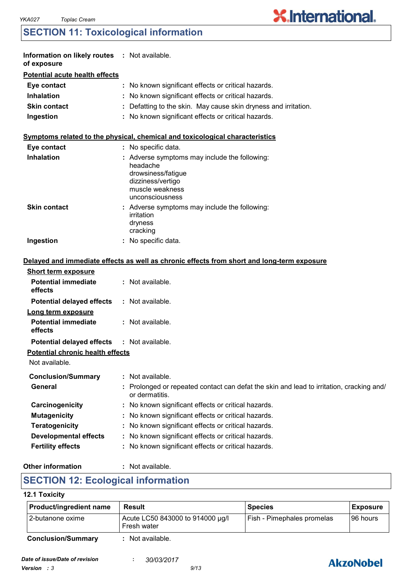### **SECTION 11: Toxicological information**

| Information on likely routes : Not available.<br>of exposure |                                                                                                                                            |
|--------------------------------------------------------------|--------------------------------------------------------------------------------------------------------------------------------------------|
| <b>Potential acute health effects</b>                        |                                                                                                                                            |
| Eye contact                                                  | No known significant effects or critical hazards.                                                                                          |
| <b>Inhalation</b>                                            | No known significant effects or critical hazards.                                                                                          |
| <b>Skin contact</b>                                          | Defatting to the skin. May cause skin dryness and irritation.                                                                              |
| Ingestion                                                    | : No known significant effects or critical hazards.                                                                                        |
|                                                              | Symptoms related to the physical, chemical and toxicological characteristics                                                               |
| Eye contact                                                  | No specific data.                                                                                                                          |
| <b>Inhalation</b>                                            | : Adverse symptoms may include the following:<br>headache<br>drowsiness/fatigue<br>dizziness/vertigo<br>muscle weakness<br>unconsciousness |
| <b>Skin contact</b>                                          | : Adverse symptoms may include the following:<br>irritation<br>dryness<br>cracking                                                         |
| Ingestion                                                    | No specific data.                                                                                                                          |
|                                                              | Delayed and immediate effects as well as chronic effects from short and long-term exposure                                                 |
| <b>Short term exposure</b>                                   |                                                                                                                                            |
| <b>Potential immediate</b><br>effects                        | : Not available.                                                                                                                           |
| <b>Potential delayed effects</b>                             | : Not available.                                                                                                                           |
| Long term exposure                                           |                                                                                                                                            |
| <b>Potential immediate</b><br>effects                        | : Not available.                                                                                                                           |
| <b>Potential delayed effects</b>                             | : Not available.                                                                                                                           |
| <b>Potential chronic health effects</b><br>Not available.    |                                                                                                                                            |
| <b>Conclusion/Summary</b>                                    | Not available.                                                                                                                             |
| General                                                      | Prolonged or repeated contact can defat the skin and lead to irritation, cracking and/<br>or dermatitis.                                   |
| Carcinogenicity                                              | No known significant effects or critical hazards.                                                                                          |
| <b>Mutagenicity</b>                                          | No known significant effects or critical hazards.                                                                                          |
| <b>Teratogenicity</b>                                        | No known significant effects or critical hazards.                                                                                          |
| <b>Developmental effects</b>                                 | No known significant effects or critical hazards.                                                                                          |
| <b>Fertility effects</b>                                     | No known significant effects or critical hazards.                                                                                          |

#### **Other information :**

: Not available.

### **SECTION 12: Ecological information**

#### **12.1 Toxicity**

| Product/ingredient name   | Result                                          | <b>Species</b>             | <b>Exposure</b> |
|---------------------------|-------------------------------------------------|----------------------------|-----------------|
| 12-butanone oxime         | Acute LC50 843000 to 914000 µg/l<br>Fresh water | Fish - Pimephales promelas | I96 hours       |
| <b>Conclusion/Summary</b> | Not available.                                  |                            |                 |



**X.International.**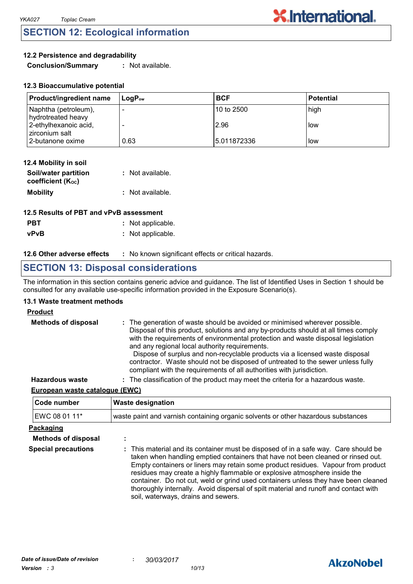### **SECTION 12: Ecological information**

#### **12.2 Persistence and degradability**

**Conclusion/Summary :** Not available.

| <b>Product/ingredient name</b>             | $\mathsf{Loa}\mathsf{P}_\mathsf{ow}$ | <b>BCF</b>   | l Potential |
|--------------------------------------------|--------------------------------------|--------------|-------------|
| Naphtha (petroleum),<br>hydrotreated heavy |                                      | 10 to 2500   | high        |
| 2-ethylhexanoic acid,<br>zirconium salt    |                                      | 2.96         | l low       |
| 2-butanone oxime                           | 0.63                                 | 15.011872336 | llow        |

**X.International.** 

| 12.4 Mobility in soil                     |                  |
|-------------------------------------------|------------------|
| Soil/water partition<br>coefficient (Koc) | : Not available. |
| <b>Mobility</b>                           | : Not available. |

| 12.5 Results of PBT and vPvB assessment |                   |  |
|-----------------------------------------|-------------------|--|
| <b>PBT</b>                              | : Not applicable. |  |
| <b>vPvB</b>                             | : Not applicable. |  |

#### **12.6 Other adverse effects** : No known significant effects or critical hazards.

### **SECTION 13: Disposal considerations**

The information in this section contains generic advice and guidance. The list of Identified Uses in Section 1 should be consulted for any available use-specific information provided in the Exposure Scenario(s).

#### **13.1 Waste treatment methods**

#### **Product**

| <b>Methods of disposal</b> | : The generation of waste should be avoided or minimised wherever possible.<br>Disposal of this product, solutions and any by-products should at all times comply<br>with the requirements of environmental protection and waste disposal legislation<br>and any regional local authority requirements.<br>Dispose of surplus and non-recyclable products via a licensed waste disposal<br>contractor. Waste should not be disposed of untreated to the sewer unless fully<br>compliant with the requirements of all authorities with jurisdiction. |
|----------------------------|-----------------------------------------------------------------------------------------------------------------------------------------------------------------------------------------------------------------------------------------------------------------------------------------------------------------------------------------------------------------------------------------------------------------------------------------------------------------------------------------------------------------------------------------------------|
| <b>Hazardous waste</b>     | : The classification of the product may meet the criteria for a hazardous waste.                                                                                                                                                                                                                                                                                                                                                                                                                                                                    |

#### **European waste catalogue (EWC)**

| Code number                | <b>Waste designation</b><br>waste paint and varnish containing organic solvents or other hazardous substances                                                                                                                                                                                                                                                                                                                                                                                                                                                 |  |  |
|----------------------------|---------------------------------------------------------------------------------------------------------------------------------------------------------------------------------------------------------------------------------------------------------------------------------------------------------------------------------------------------------------------------------------------------------------------------------------------------------------------------------------------------------------------------------------------------------------|--|--|
| EWC 08 01 11*              |                                                                                                                                                                                                                                                                                                                                                                                                                                                                                                                                                               |  |  |
| Packaging                  |                                                                                                                                                                                                                                                                                                                                                                                                                                                                                                                                                               |  |  |
| <b>Methods of disposal</b> | $\blacksquare$                                                                                                                                                                                                                                                                                                                                                                                                                                                                                                                                                |  |  |
| <b>Special precautions</b> | : This material and its container must be disposed of in a safe way. Care should be<br>taken when handling emptied containers that have not been cleaned or rinsed out.<br>Empty containers or liners may retain some product residues. Vapour from product<br>residues may create a highly flammable or explosive atmosphere inside the<br>container. Do not cut, weld or grind used containers unless they have been cleaned<br>thoroughly internally. Avoid dispersal of spilt material and runoff and contact with<br>soil, waterways, drains and sewers. |  |  |

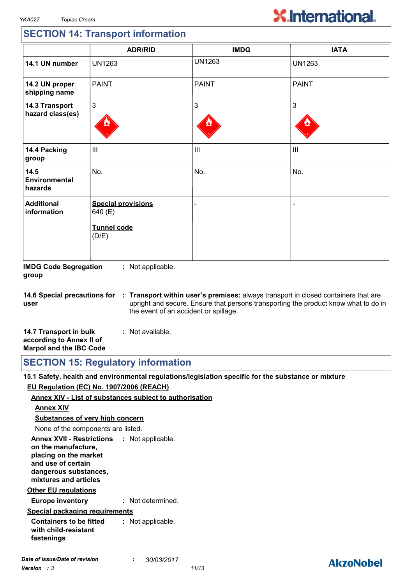# **X.International.**

### **SECTION 14: Transport information**

|                                    | <b>ADR/RID</b>                                               | <b>IMDG</b>    | <b>IATA</b>    |
|------------------------------------|--------------------------------------------------------------|----------------|----------------|
| 14.1 UN number                     | <b>UN1263</b>                                                | <b>UN1263</b>  | <b>UN1263</b>  |
| 14.2 UN proper<br>shipping name    | <b>PAINT</b>                                                 | <b>PAINT</b>   | <b>PAINT</b>   |
| 14.3 Transport<br>hazard class(es) | 3                                                            | 3              | 3              |
| 14.4 Packing<br>group              | $\mathbf{III}$                                               | $\mathbf{III}$ | $\mathbf{III}$ |
| 14.5<br>Environmental<br>hazards   | No.                                                          | No.            | No.            |
| <b>Additional</b><br>information   | <b>Special provisions</b><br>640 (E)<br>Tunnel code<br>(D/E) |                |                |

**IMDG Code Segregation group :** Not applicable.

**14.6 Special precautions for user Transport within user's premises:** always transport in closed containers that are **:** upright and secure. Ensure that persons transporting the product know what to do in the event of an accident or spillage.

| 14.7 Transport in bulk         | : Not available. |  |
|--------------------------------|------------------|--|
| according to Annex II of       |                  |  |
| <b>Marpol and the IBC Code</b> |                  |  |

**SECTION 15: Regulatory information**

**15.1 Safety, health and environmental regulations/legislation specific for the substance or mixture EU Regulation (EC) No. 1907/2006 (REACH)**

#### **Annex XIV - List of substances subject to authorisation**

#### **Annex XIV**

**Substances of very high concern**

None of the components are listed.

**Annex XVII - Restrictions : Not applicable. on the manufacture, placing on the market and use of certain dangerous substances, mixtures and articles**

#### **Other EU regulations**

**Europe inventory :** Not determined.

#### **Special packaging requirements**

**Containers to be fitted with child-resistant fastenings :** Not applicable.

### **AkzoNobel**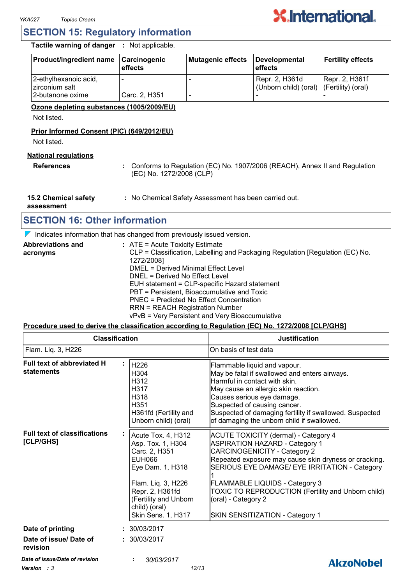### **SECTION 15: Regulatory information**

**Tactile warning of danger :** Not applicable.

| Product/ingredient name                 | Carcinogenic<br>effects | Mutagenic effects | Developmental<br><b>effects</b>                            | <b>Fertility effects</b> |
|-----------------------------------------|-------------------------|-------------------|------------------------------------------------------------|--------------------------|
| 2-ethylhexanoic acid,<br>zirconium salt |                         |                   | Repr. 2, H361d<br>(Unborn child) (oral) (Fertility) (oral) | Repr. 2, H361f           |
| 2-butanone oxime                        | Carc. 2, H351           |                   |                                                            |                          |

#### **Ozone depleting substances (1005/2009/EU)**

Not listed.

#### **Prior Informed Consent (PIC) (649/2012/EU)**

Not listed.

#### **National regulations**

**References :** Conforms to Regulation (EC) No. 1907/2006 (REACH), Annex II and Regulation (EC) No. 1272/2008 (CLP)

**15.2 Chemical safety :** No Chemical Safety Assessment has been carried out.

**assessment**

### **SECTION 16: Other information**

 $\nabla$  Indicates information that has changed from previously issued version.

| <b>Abbreviations and</b> | $:$ ATE = Acute Toxicity Estimate                                             |
|--------------------------|-------------------------------------------------------------------------------|
| acronyms                 | CLP = Classification, Labelling and Packaging Regulation [Regulation (EC) No. |
|                          | 1272/2008]                                                                    |
|                          | DMEL = Derived Minimal Effect Level                                           |
|                          | DNEL = Derived No Effect Level                                                |
|                          | EUH statement = CLP-specific Hazard statement                                 |
|                          | PBT = Persistent, Bioaccumulative and Toxic                                   |
|                          | PNEC = Predicted No Effect Concentration                                      |
|                          | <b>RRN = REACH Registration Number</b>                                        |
|                          | vPvB = Very Persistent and Very Bioaccumulative                               |

#### **Procedure used to derive the classification according to Regulation (EC) No. 1272/2008 [CLP/GHS]**

| <b>Classification</b><br>Flam. Liq. 3, H226      |                                                                                                                                                                                                               | <b>Justification</b><br>On basis of test data                                                                                                                                                                                                                                                                                                                                                  |  |
|--------------------------------------------------|---------------------------------------------------------------------------------------------------------------------------------------------------------------------------------------------------------------|------------------------------------------------------------------------------------------------------------------------------------------------------------------------------------------------------------------------------------------------------------------------------------------------------------------------------------------------------------------------------------------------|--|
|                                                  |                                                                                                                                                                                                               |                                                                                                                                                                                                                                                                                                                                                                                                |  |
| <b>Full text of classifications</b><br>[CLP/GHS] | Acute Tox. 4, H312<br>Asp. Tox. 1, H304<br>Carc. 2, H351<br><b>EUH066</b><br>Eye Dam. 1, H318<br>Flam. Liq. 3, H226<br>Repr. 2, H361fd<br>(Fertility and Unborn<br>child) (oral)<br><b>Skin Sens. 1, H317</b> | <b>ACUTE TOXICITY (dermal) - Category 4</b><br><b>ASPIRATION HAZARD - Category 1</b><br><b>CARCINOGENICITY - Category 2</b><br>Repeated exposure may cause skin dryness or cracking.<br>SERIOUS EYE DAMAGE/ EYE IRRITATION - Category<br><b>FLAMMABLE LIQUIDS - Category 3</b><br>TOXIC TO REPRODUCTION (Fertility and Unborn child)<br>(oral) - Category 2<br>SKIN SENSITIZATION - Category 1 |  |
| Date of printing                                 | : 30/03/2017                                                                                                                                                                                                  |                                                                                                                                                                                                                                                                                                                                                                                                |  |
| Date of issue/ Date of<br>revision               | : 30/03/2017                                                                                                                                                                                                  |                                                                                                                                                                                                                                                                                                                                                                                                |  |
| Date of issue/Date of revision                   | 30/03/2017                                                                                                                                                                                                    | <b>AkzoNobel</b>                                                                                                                                                                                                                                                                                                                                                                               |  |
|                                                  |                                                                                                                                                                                                               |                                                                                                                                                                                                                                                                                                                                                                                                |  |